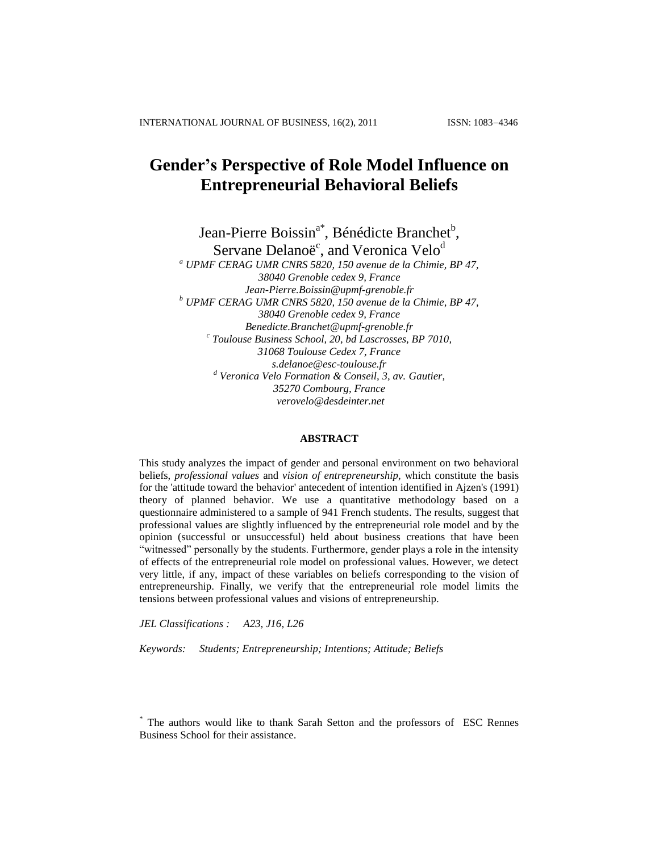# **Gender's Perspective of Role Model Influence on Entrepreneurial Behavioral Beliefs**

Jean-Pierre Boissin<sup>a\*</sup>, Bénédicte Branchet<sup>b</sup>, Servane Delanoë<sup>c</sup>, and Veronica Velo<sup>d</sup>

*<sup>a</sup> UPMF CERAG UMR CNRS 5820, 150 avenue de la Chimie, BP 47, 38040 Grenoble cedex 9, France [Jean-Pierre.Boissin@upmf-grenoble.fr](mailto:Jean-Pierre.Boissin@upmf-grenoble.fr) <sup>b</sup> UPMF CERAG UMR CNRS 5820, 150 avenue de la Chimie, BP 47, 38040 Grenoble cedex 9, France Benedicte.Branchet@upmf-grenoble.fr c Toulouse Business School, 20, bd Lascrosses, BP 7010, 31068 Toulouse Cedex 7, France s.delanoe@esc-toulouse.fr <sup>d</sup> Veronica Velo Formation & Conseil, 3, av. Gautier, 35270 Combourg, France verovelo@desdeinter.net*

## **ABSTRACT**

This study analyzes the impact of gender and personal environment on two behavioral beliefs, *professional values* and *vision of entrepreneurship*, which constitute the basis for the 'attitude toward the behavior' antecedent of intention identified in Ajzen's (1991) theory of planned behavior. We use a quantitative methodology based on a questionnaire administered to a sample of 941 French students. The results, suggest that professional values are slightly influenced by the entrepreneurial role model and by the opinion (successful or unsuccessful) held about business creations that have been "witnessed" personally by the students. Furthermore, gender plays a role in the intensity of effects of the entrepreneurial role model on professional values. However, we detect very little, if any, impact of these variables on beliefs corresponding to the vision of entrepreneurship. Finally, we verify that the entrepreneurial role model limits the tensions between professional values and visions of entrepreneurship.

*JEL Classifications : A23, J16, L26*

*Keywords: Students; Entrepreneurship; Intentions; Attitude; Beliefs*

<sup>\*</sup> The authors would like to thank Sarah Setton and the professors of ESC Rennes Business School for their assistance.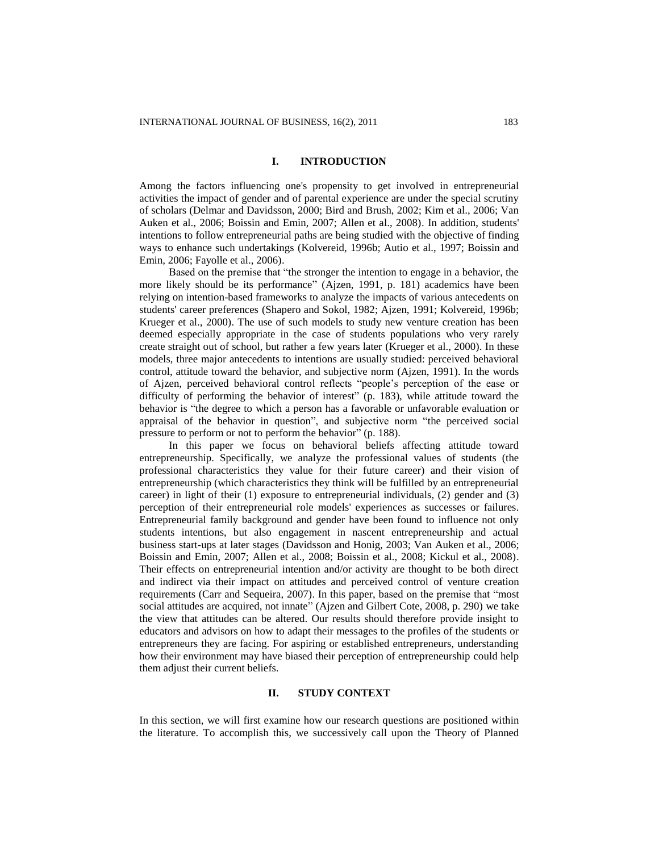#### **I. INTRODUCTION**

Among the factors influencing one's propensity to get involved in entrepreneurial activities the impact of gender and of parental experience are under the special scrutiny of scholars (Delmar and Davidsson, 2000; Bird and Brush, 2002; Kim et al., 2006; Van Auken et al., 2006; Boissin and Emin, 2007; Allen et al., 2008). In addition, students' intentions to follow entrepreneurial paths are being studied with the objective of finding ways to enhance such undertakings (Kolvereid, 1996b; Autio et al., 1997; Boissin and Emin, 2006; Fayolle et al., 2006).

Based on the premise that "the stronger the intention to engage in a behavior, the more likely should be its performance" (Ajzen, 1991, p. 181) academics have been relying on intention-based frameworks to analyze the impacts of various antecedents on students' career preferences (Shapero and Sokol, 1982; Ajzen, 1991; Kolvereid, 1996b; Krueger et al., 2000). The use of such models to study new venture creation has been deemed especially appropriate in the case of students populations who very rarely create straight out of school, but rather a few years later (Krueger et al., 2000). In these models, three major antecedents to intentions are usually studied: perceived behavioral control, attitude toward the behavior, and subjective norm (Ajzen, 1991). In the words of Ajzen, perceived behavioral control reflects "people's perception of the ease or difficulty of performing the behavior of interest" (p. 183), while attitude toward the behavior is "the degree to which a person has a favorable or unfavorable evaluation or appraisal of the behavior in question", and subjective norm "the perceived social pressure to perform or not to perform the behavior" (p. 188).

In this paper we focus on behavioral beliefs affecting attitude toward entrepreneurship. Specifically, we analyze the professional values of students (the professional characteristics they value for their future career) and their vision of entrepreneurship (which characteristics they think will be fulfilled by an entrepreneurial career) in light of their (1) exposure to entrepreneurial individuals, (2) gender and (3) perception of their entrepreneurial role models' experiences as successes or failures. Entrepreneurial family background and gender have been found to influence not only students intentions, but also engagement in nascent entrepreneurship and actual business start-ups at later stages (Davidsson and Honig, 2003; Van Auken et al., 2006; Boissin and Emin, 2007; Allen et al., 2008; Boissin et al., 2008; Kickul et al., 2008). Their effects on entrepreneurial intention and/or activity are thought to be both direct and indirect via their impact on attitudes and perceived control of venture creation requirements (Carr and Sequeira, 2007). In this paper, based on the premise that "most social attitudes are acquired, not innate" (Ajzen and Gilbert Cote, 2008, p. 290) we take the view that attitudes can be altered. Our results should therefore provide insight to educators and advisors on how to adapt their messages to the profiles of the students or entrepreneurs they are facing. For aspiring or established entrepreneurs, understanding how their environment may have biased their perception of entrepreneurship could help them adjust their current beliefs.

## **II. STUDY CONTEXT**

In this section, we will first examine how our research questions are positioned within the literature. To accomplish this, we successively call upon the Theory of Planned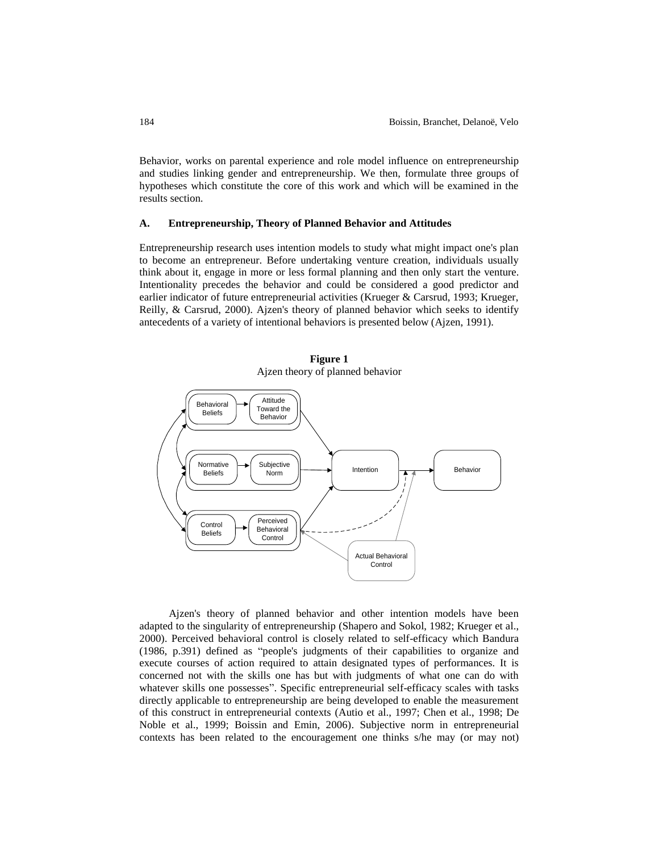Behavior, works on parental experience and role model influence on entrepreneurship and studies linking gender and entrepreneurship. We then, formulate three groups of hypotheses which constitute the core of this work and which will be examined in the results section.

#### **A. Entrepreneurship, Theory of Planned Behavior and Attitudes**

Entrepreneurship research uses intention models to study what might impact one's plan to become an entrepreneur. Before undertaking venture creation, individuals usually think about it, engage in more or less formal planning and then only start the venture. Intentionality precedes the behavior and could be considered a good predictor and earlier indicator of future entrepreneurial activities (Krueger & Carsrud, 1993; Krueger, Reilly, & Carsrud, 2000). Ajzen's theory of planned behavior which seeks to identify antecedents of a variety of intentional behaviors is presented below (Ajzen, 1991).



**Figure 1** Ajzen theory of planned behavior

Ajzen's theory of planned behavior and other intention models have been adapted to the singularity of entrepreneurship (Shapero and Sokol, 1982; Krueger et al., 2000). Perceived behavioral control is closely related to self-efficacy which Bandura (1986, p.391) defined as "people's judgments of their capabilities to organize and execute courses of action required to attain designated types of performances. It is concerned not with the skills one has but with judgments of what one can do with whatever skills one possesses". Specific entrepreneurial self-efficacy scales with tasks directly applicable to entrepreneurship are being developed to enable the measurement of this construct in entrepreneurial contexts (Autio et al., 1997; Chen et al., 1998; De Noble et al., 1999; Boissin and Emin, 2006). Subjective norm in entrepreneurial contexts has been related to the encouragement one thinks s/he may (or may not)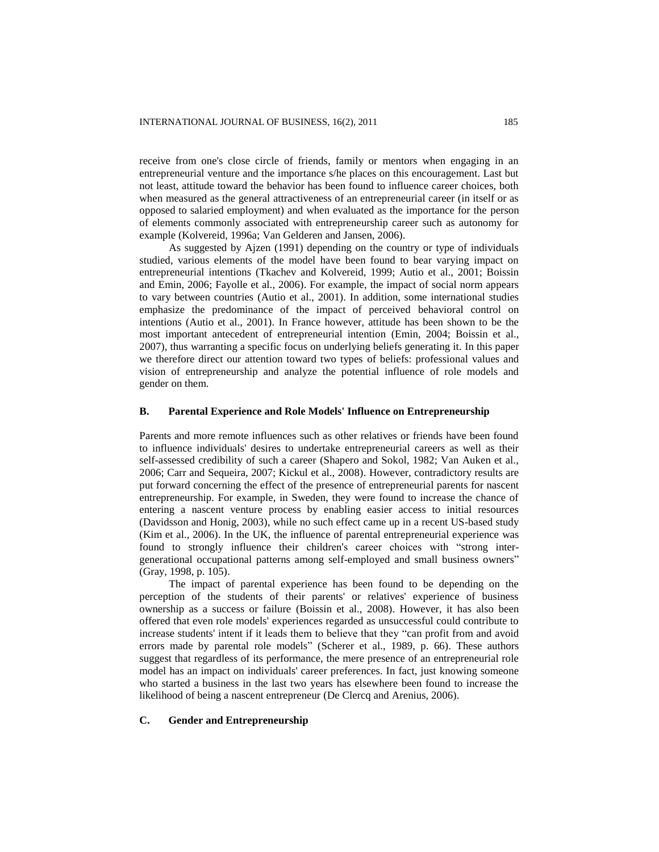receive from one's close circle of friends, family or mentors when engaging in an entrepreneurial venture and the importance s/he places on this encouragement. Last but not least, attitude toward the behavior has been found to influence career choices, both when measured as the general attractiveness of an entrepreneurial career (in itself or as opposed to salaried employment) and when evaluated as the importance for the person of elements commonly associated with entrepreneurship career such as autonomy for example (Kolvereid, 1996a; Van Gelderen and Jansen, 2006).

As suggested by Ajzen (1991) depending on the country or type of individuals studied, various elements of the model have been found to bear varying impact on entrepreneurial intentions (Tkachev and Kolvereid, 1999; Autio et al., 2001; Boissin and Emin, 2006; Fayolle et al., 2006). For example, the impact of social norm appears to vary between countries (Autio et al., 2001). In addition, some international studies emphasize the predominance of the impact of perceived behavioral control on intentions (Autio et al., 2001). In France however, attitude has been shown to be the most important antecedent of entrepreneurial intention (Emin, 2004; Boissin et al., 2007), thus warranting a specific focus on underlying beliefs generating it. In this paper we therefore direct our attention toward two types of beliefs: professional values and vision of entrepreneurship and analyze the potential influence of role models and gender on them.

#### **B. Parental Experience and Role Models' Influence on Entrepreneurship**

Parents and more remote influences such as other relatives or friends have been found to influence individuals' desires to undertake entrepreneurial careers as well as their self-assessed credibility of such a career (Shapero and Sokol, 1982; Van Auken et al., 2006; Carr and Sequeira, 2007; Kickul et al., 2008). However, contradictory results are put forward concerning the effect of the presence of entrepreneurial parents for nascent entrepreneurship. For example, in Sweden, they were found to increase the chance of entering a nascent venture process by enabling easier access to initial resources (Davidsson and Honig, 2003), while no such effect came up in a recent US-based study (Kim et al., 2006). In the UK, the influence of parental entrepreneurial experience was found to strongly influence their children's career choices with "strong intergenerational occupational patterns among self-employed and small business owners" (Gray, 1998, p. 105).

The impact of parental experience has been found to be depending on the perception of the students of their parents' or relatives' experience of business ownership as a success or failure (Boissin et al., 2008). However, it has also been offered that even role models' experiences regarded as unsuccessful could contribute to increase students' intent if it leads them to believe that they "can profit from and avoid errors made by parental role models" (Scherer et al., 1989, p. 66). These authors suggest that regardless of its performance, the mere presence of an entrepreneurial role model has an impact on individuals' career preferences. In fact, just knowing someone who started a business in the last two years has elsewhere been found to increase the likelihood of being a nascent entrepreneur (De Clercq and Arenius, 2006).

#### **C. Gender and Entrepreneurship**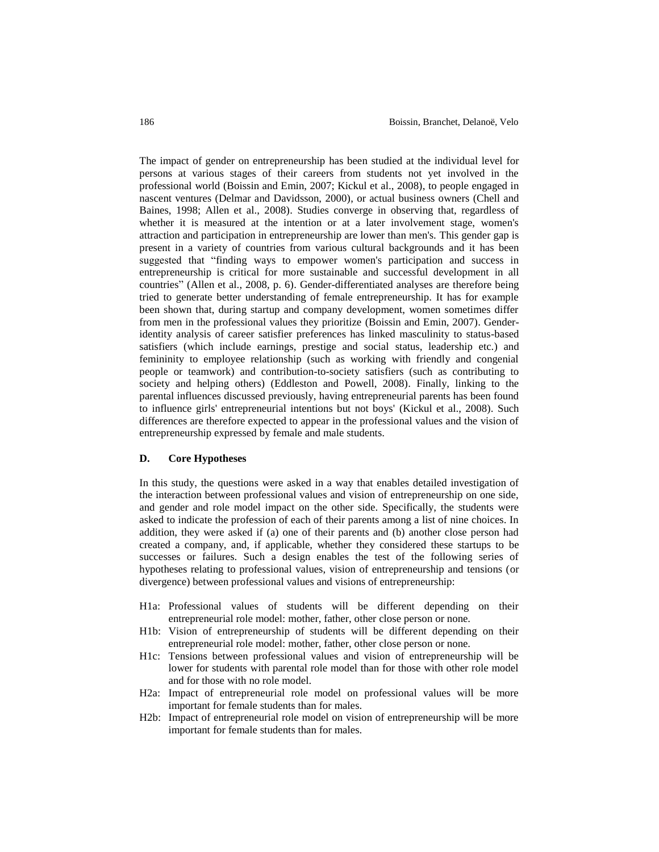The impact of gender on entrepreneurship has been studied at the individual level for persons at various stages of their careers from students not yet involved in the professional world (Boissin and Emin, 2007; Kickul et al., 2008), to people engaged in nascent ventures (Delmar and Davidsson, 2000), or actual business owners (Chell and Baines, 1998; Allen et al., 2008). Studies converge in observing that, regardless of whether it is measured at the intention or at a later involvement stage, women's attraction and participation in entrepreneurship are lower than men's. This gender gap is present in a variety of countries from various cultural backgrounds and it has been suggested that "finding ways to empower women's participation and success in entrepreneurship is critical for more sustainable and successful development in all countries" (Allen et al., 2008, p. 6). Gender-differentiated analyses are therefore being tried to generate better understanding of female entrepreneurship. It has for example been shown that, during startup and company development, women sometimes differ from men in the professional values they prioritize (Boissin and Emin, 2007). Genderidentity analysis of career satisfier preferences has linked masculinity to status-based satisfiers (which include earnings, prestige and social status, leadership etc.) and femininity to employee relationship (such as working with friendly and congenial people or teamwork) and contribution-to-society satisfiers (such as contributing to society and helping others) (Eddleston and Powell, 2008). Finally, linking to the parental influences discussed previously, having entrepreneurial parents has been found to influence girls' entrepreneurial intentions but not boys' (Kickul et al., 2008). Such differences are therefore expected to appear in the professional values and the vision of entrepreneurship expressed by female and male students.

#### **D. Core Hypotheses**

In this study, the questions were asked in a way that enables detailed investigation of the interaction between professional values and vision of entrepreneurship on one side, and gender and role model impact on the other side. Specifically, the students were asked to indicate the profession of each of their parents among a list of nine choices. In addition, they were asked if (a) one of their parents and (b) another close person had created a company, and, if applicable, whether they considered these startups to be successes or failures. Such a design enables the test of the following series of hypotheses relating to professional values, vision of entrepreneurship and tensions (or divergence) between professional values and visions of entrepreneurship:

- H1a: Professional values of students will be different depending on their entrepreneurial role model: mother, father, other close person or none.
- H1b: Vision of entrepreneurship of students will be different depending on their entrepreneurial role model: mother, father, other close person or none.
- H1c: Tensions between professional values and vision of entrepreneurship will be lower for students with parental role model than for those with other role model and for those with no role model.
- H2a: Impact of entrepreneurial role model on professional values will be more important for female students than for males.
- H2b: Impact of entrepreneurial role model on vision of entrepreneurship will be more important for female students than for males.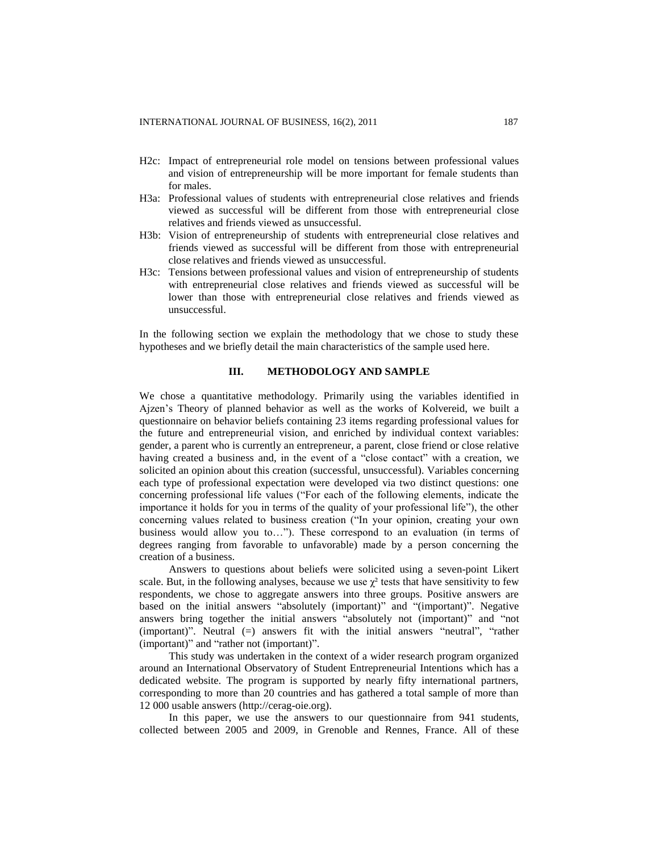- H2c: Impact of entrepreneurial role model on tensions between professional values and vision of entrepreneurship will be more important for female students than for males.
- H3a: Professional values of students with entrepreneurial close relatives and friends viewed as successful will be different from those with entrepreneurial close relatives and friends viewed as unsuccessful.
- H3b: Vision of entrepreneurship of students with entrepreneurial close relatives and friends viewed as successful will be different from those with entrepreneurial close relatives and friends viewed as unsuccessful.
- H3c: Tensions between professional values and vision of entrepreneurship of students with entrepreneurial close relatives and friends viewed as successful will be lower than those with entrepreneurial close relatives and friends viewed as unsuccessful.

In the following section we explain the methodology that we chose to study these hypotheses and we briefly detail the main characteristics of the sample used here.

#### **III. METHODOLOGY AND SAMPLE**

We chose a quantitative methodology. Primarily using the variables identified in Ajzen's Theory of planned behavior as well as the works of Kolvereid, we built a questionnaire on behavior beliefs containing 23 items regarding professional values for the future and entrepreneurial vision, and enriched by individual context variables: gender, a parent who is currently an entrepreneur, a parent, close friend or close relative having created a business and, in the event of a "close contact" with a creation, we solicited an opinion about this creation (successful, unsuccessful). Variables concerning each type of professional expectation were developed via two distinct questions: one concerning professional life values ("For each of the following elements, indicate the importance it holds for you in terms of the quality of your professional life"), the other concerning values related to business creation ("In your opinion, creating your own business would allow you to…"). These correspond to an evaluation (in terms of degrees ranging from favorable to unfavorable) made by a person concerning the creation of a business.

Answers to questions about beliefs were solicited using a seven-point Likert scale. But, in the following analyses, because we use  $\gamma^2$  tests that have sensitivity to few respondents, we chose to aggregate answers into three groups. Positive answers are based on the initial answers "absolutely (important)" and "(important)". Negative answers bring together the initial answers "absolutely not (important)" and "not (important)". Neutral (=) answers fit with the initial answers "neutral", "rather (important)" and "rather not (important)".

This study was undertaken in the context of a wider research program organized around an International Observatory of Student Entrepreneurial Intentions which has a dedicated website. The program is supported by nearly fifty international partners, corresponding to more than 20 countries and has gathered a total sample of more than 12 000 usable answers (http://cerag-oie.org).

In this paper, we use the answers to our questionnaire from 941 students, collected between 2005 and 2009, in Grenoble and Rennes, France. All of these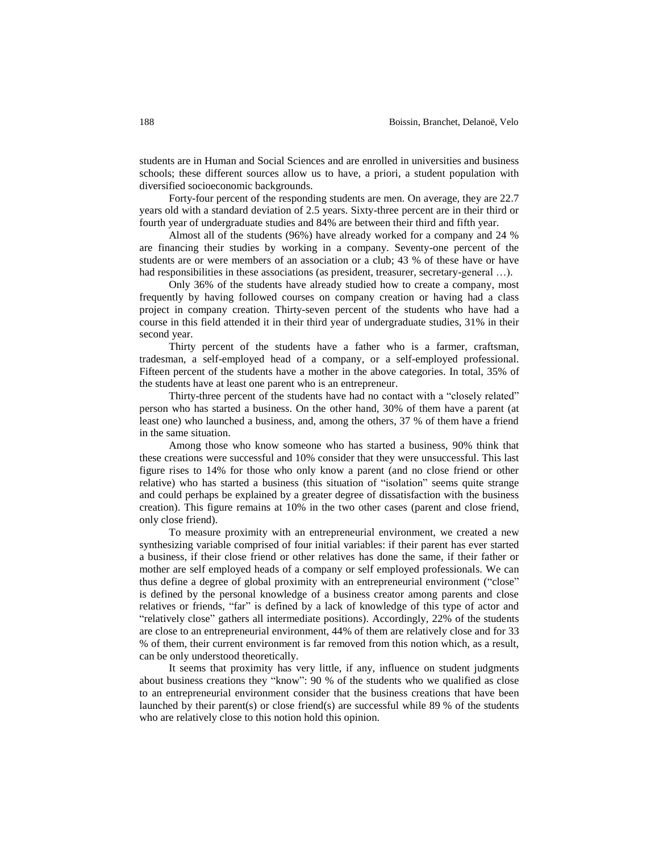students are in Human and Social Sciences and are enrolled in universities and business schools; these different sources allow us to have, a priori, a student population with diversified socioeconomic backgrounds.

Forty-four percent of the responding students are men. On average, they are 22.7 years old with a standard deviation of 2.5 years. Sixty-three percent are in their third or fourth year of undergraduate studies and 84% are between their third and fifth year.

Almost all of the students (96%) have already worked for a company and 24 % are financing their studies by working in a company. Seventy-one percent of the students are or were members of an association or a club; 43 % of these have or have had responsibilities in these associations (as president, treasurer, secretary-general ...).

Only 36% of the students have already studied how to create a company, most frequently by having followed courses on company creation or having had a class project in company creation. Thirty-seven percent of the students who have had a course in this field attended it in their third year of undergraduate studies, 31% in their second year.

Thirty percent of the students have a father who is a farmer, craftsman, tradesman, a self-employed head of a company, or a self-employed professional. Fifteen percent of the students have a mother in the above categories. In total, 35% of the students have at least one parent who is an entrepreneur.

Thirty-three percent of the students have had no contact with a "closely related" person who has started a business. On the other hand, 30% of them have a parent (at least one) who launched a business, and, among the others, 37 % of them have a friend in the same situation.

Among those who know someone who has started a business, 90% think that these creations were successful and 10% consider that they were unsuccessful. This last figure rises to 14% for those who only know a parent (and no close friend or other relative) who has started a business (this situation of "isolation" seems quite strange and could perhaps be explained by a greater degree of dissatisfaction with the business creation). This figure remains at 10% in the two other cases (parent and close friend, only close friend).

To measure proximity with an entrepreneurial environment, we created a new synthesizing variable comprised of four initial variables: if their parent has ever started a business, if their close friend or other relatives has done the same, if their father or mother are self employed heads of a company or self employed professionals. We can thus define a degree of global proximity with an entrepreneurial environment ("close" is defined by the personal knowledge of a business creator among parents and close relatives or friends, "far" is defined by a lack of knowledge of this type of actor and "relatively close" gathers all intermediate positions). Accordingly, 22% of the students are close to an entrepreneurial environment, 44% of them are relatively close and for 33 % of them, their current environment is far removed from this notion which, as a result, can be only understood theoretically.

It seems that proximity has very little, if any, influence on student judgments about business creations they "know": 90 % of the students who we qualified as close to an entrepreneurial environment consider that the business creations that have been launched by their parent(s) or close friend(s) are successful while 89 % of the students who are relatively close to this notion hold this opinion.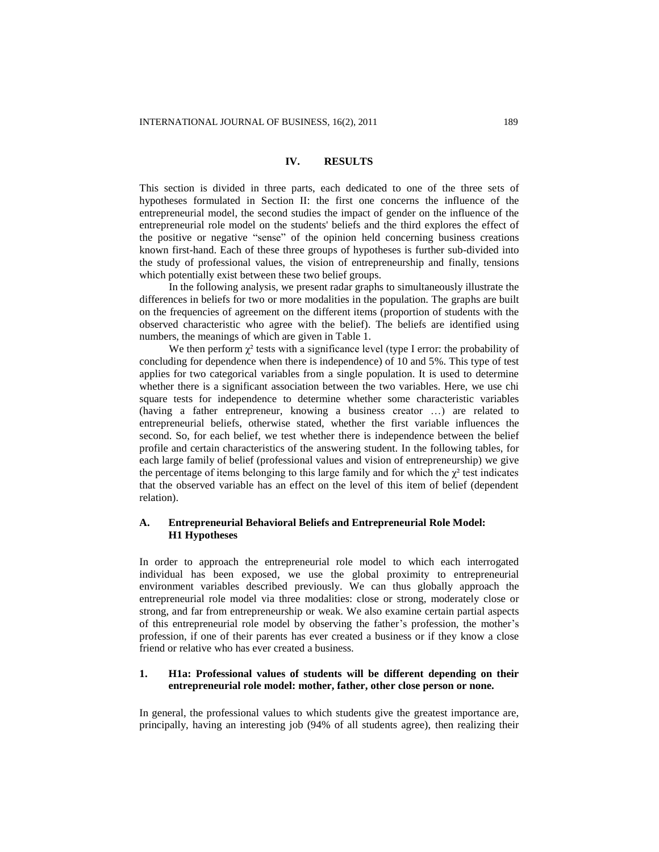#### **IV. RESULTS**

This section is divided in three parts, each dedicated to one of the three sets of hypotheses formulated in Section II: the first one concerns the influence of the entrepreneurial model, the second studies the impact of gender on the influence of the entrepreneurial role model on the students' beliefs and the third explores the effect of the positive or negative "sense" of the opinion held concerning business creations known first-hand. Each of these three groups of hypotheses is further sub-divided into the study of professional values, the vision of entrepreneurship and finally, tensions which potentially exist between these two belief groups.

In the following analysis, we present radar graphs to simultaneously illustrate the differences in beliefs for two or more modalities in the population. The graphs are built on the frequencies of agreement on the different items (proportion of students with the observed characteristic who agree with the belief). The beliefs are identified using numbers, the meanings of which are given in Table 1.

We then perform  $\chi^2$  tests with a significance level (type I error: the probability of concluding for dependence when there is independence) of 10 and 5%. This type of test applies for two categorical variables from a single population. It is used to determine whether there is a significant association between the two variables. Here, we use chi square tests for independence to determine whether some characteristic variables (having a father entrepreneur, knowing a business creator …) are related to entrepreneurial beliefs, otherwise stated, whether the first variable influences the second. So, for each belief, we test whether there is independence between the belief profile and certain characteristics of the answering student. In the following tables, for each large family of belief (professional values and vision of entrepreneurship) we give the percentage of items belonging to this large family and for which the  $\chi^2$  test indicates that the observed variable has an effect on the level of this item of belief (dependent relation).

## **A. Entrepreneurial Behavioral Beliefs and Entrepreneurial Role Model: H1 Hypotheses**

In order to approach the entrepreneurial role model to which each interrogated individual has been exposed, we use the global proximity to entrepreneurial environment variables described previously. We can thus globally approach the entrepreneurial role model via three modalities: close or strong, moderately close or strong, and far from entrepreneurship or weak. We also examine certain partial aspects of this entrepreneurial role model by observing the father's profession, the mother's profession, if one of their parents has ever created a business or if they know a close friend or relative who has ever created a business.

## **1. H1a: Professional values of students will be different depending on their entrepreneurial role model: mother, father, other close person or none.**

In general, the professional values to which students give the greatest importance are, principally, having an interesting job (94% of all students agree), then realizing their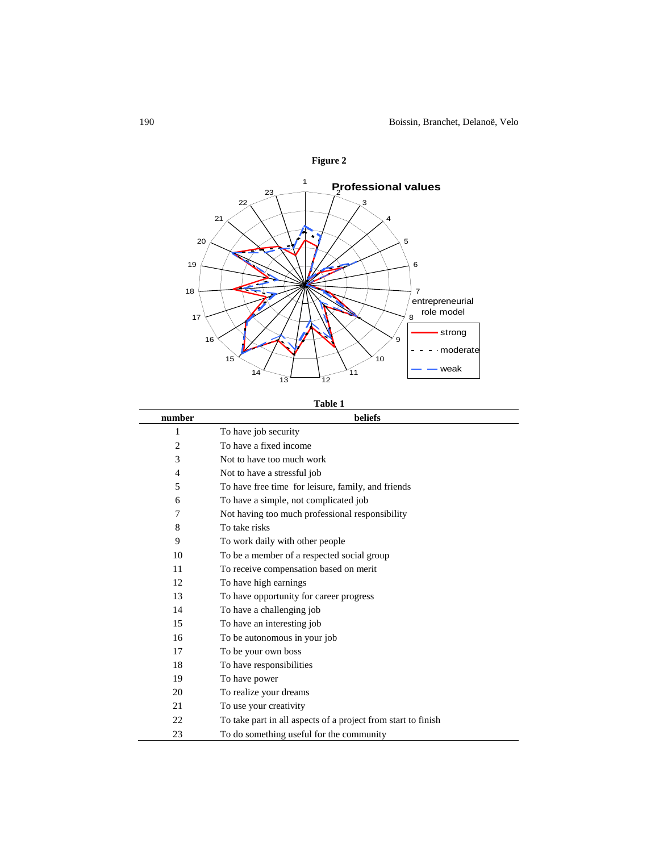

**Table 1**

| number         | beliefs                                                       |
|----------------|---------------------------------------------------------------|
| 1              | To have job security                                          |
| $\overline{2}$ | To have a fixed income                                        |
| 3              | Not to have too much work                                     |
| 4              | Not to have a stressful job                                   |
| 5              | To have free time for leisure, family, and friends            |
| 6              | To have a simple, not complicated job                         |
| 7              | Not having too much professional responsibility               |
| 8              | To take risks                                                 |
| 9              | To work daily with other people                               |
| 10             | To be a member of a respected social group                    |
| 11             | To receive compensation based on merit                        |
| 12             | To have high earnings                                         |
| 13             | To have opportunity for career progress                       |
| 14             | To have a challenging job                                     |
| 15             | To have an interesting job                                    |
| 16             | To be autonomous in your job                                  |
| 17             | To be your own boss                                           |
| 18             | To have responsibilities                                      |
| 19             | To have power                                                 |
| 20             | To realize your dreams                                        |
| 21             | To use your creativity                                        |
| 22             | To take part in all aspects of a project from start to finish |
| 23             | To do something useful for the community                      |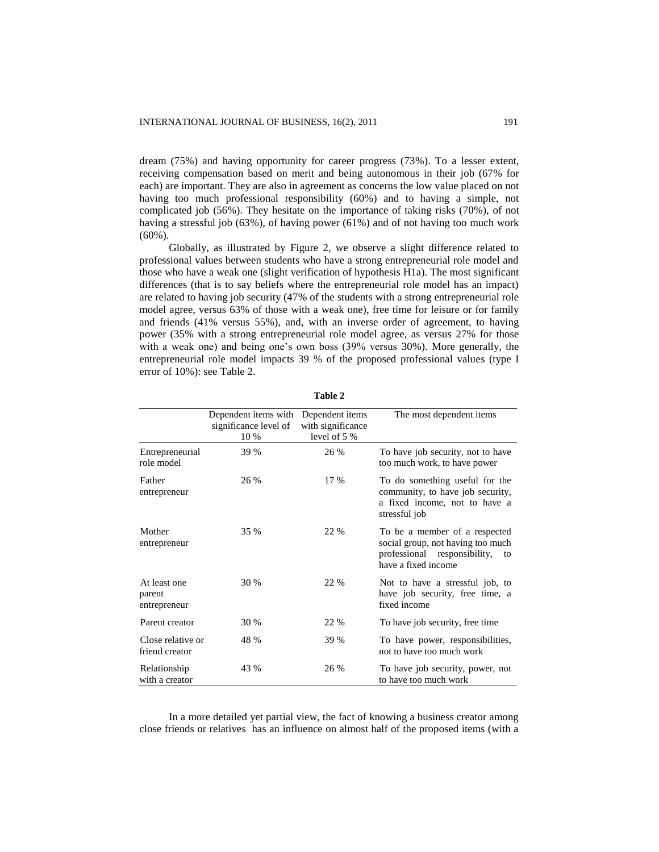dream (75%) and having opportunity for career progress (73%). To a lesser extent, receiving compensation based on merit and being autonomous in their job (67% for each) are important. They are also in agreement as concerns the low value placed on not having too much professional responsibility (60%) and to having a simple, not complicated job (56%). They hesitate on the importance of taking risks (70%), of not having a stressful job (63%), of having power (61%) and of not having too much work (60%).

Globally, as illustrated by Figure 2, we observe a slight difference related to professional values between students who have a strong entrepreneurial role model and those who have a weak one (slight verification of hypothesis H1a). The most significant differences (that is to say beliefs where the entrepreneurial role model has an impact) are related to having job security (47% of the students with a strong entrepreneurial role model agree, versus 63% of those with a weak one), free time for leisure or for family and friends (41% versus 55%), and, with an inverse order of agreement, to having power (35% with a strong entrepreneurial role model agree, as versus 27% for those with a weak one) and being one's own boss (39% versus 30%). More generally, the entrepreneurial role model impacts 39 % of the proposed professional values (type I error of 10%): see Table 2.

|                                        | Dependent items with<br>significance level of<br>10 % | Dependent items<br>with significance<br>level of 5 % | The most dependent items                                                                                                        |
|----------------------------------------|-------------------------------------------------------|------------------------------------------------------|---------------------------------------------------------------------------------------------------------------------------------|
| Entrepreneurial<br>role model          | 39 %                                                  | 26 %                                                 | To have job security, not to have<br>too much work, to have power                                                               |
| Father<br>entrepreneur                 | 26 %                                                  | 17 %                                                 | To do something useful for the<br>community, to have job security,<br>a fixed income, not to have a<br>stressful job            |
| Mother<br>entrepreneur                 | 35 %                                                  | 22 %                                                 | To be a member of a respected<br>social group, not having too much<br>professional responsibility,<br>to<br>have a fixed income |
| At least one<br>parent<br>entrepreneur | 30 %                                                  | 22 %                                                 | Not to have a stressful job, to<br>have job security, free time, a<br>fixed income                                              |
| Parent creator                         | 30 %                                                  | 22 %                                                 | To have job security, free time                                                                                                 |
| Close relative or<br>friend creator    | 48 %                                                  | 39 %                                                 | To have power, responsibilities,<br>not to have too much work                                                                   |
| Relationship<br>with a creator         | 43 %                                                  | 26 %                                                 | To have job security, power, not<br>to have too much work                                                                       |

**Table 2**

In a more detailed yet partial view, the fact of knowing a business creator among close friends or relatives has an influence on almost half of the proposed items (with a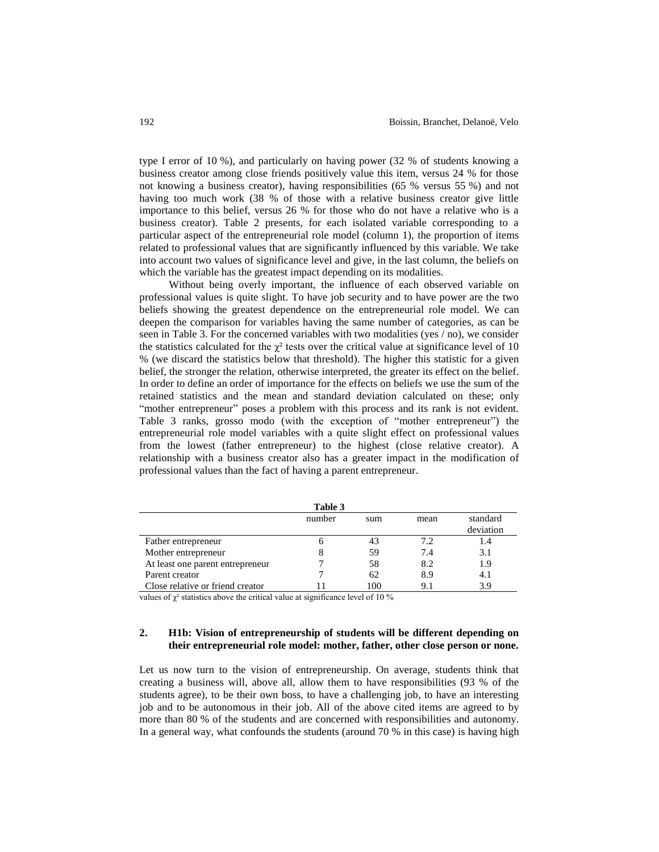type I error of 10 %), and particularly on having power (32 % of students knowing a business creator among close friends positively value this item, versus 24 % for those not knowing a business creator), having responsibilities (65 % versus 55 %) and not having too much work (38 % of those with a relative business creator give little importance to this belief, versus 26 % for those who do not have a relative who is a business creator). Table 2 presents, for each isolated variable corresponding to a particular aspect of the entrepreneurial role model (column 1), the proportion of items related to professional values that are significantly influenced by this variable. We take into account two values of significance level and give, in the last column, the beliefs on which the variable has the greatest impact depending on its modalities.

Without being overly important, the influence of each observed variable on professional values is quite slight. To have job security and to have power are the two beliefs showing the greatest dependence on the entrepreneurial role model. We can deepen the comparison for variables having the same number of categories, as can be seen in Table 3. For the concerned variables with two modalities (yes / no), we consider the statistics calculated for the  $\chi^2$  tests over the critical value at significance level of 10 % (we discard the statistics below that threshold). The higher this statistic for a given belief, the stronger the relation, otherwise interpreted, the greater its effect on the belief. In order to define an order of importance for the effects on beliefs we use the sum of the retained statistics and the mean and standard deviation calculated on these; only "mother entrepreneur" poses a problem with this process and its rank is not evident. Table 3 ranks, grosso modo (with the exception of "mother entrepreneur") the entrepreneurial role model variables with a quite slight effect on professional values from the lowest (father entrepreneur) to the highest (close relative creator). A relationship with a business creator also has a greater impact in the modification of professional values than the fact of having a parent entrepreneur.

|                                  | raviv J |     |      |           |
|----------------------------------|---------|-----|------|-----------|
|                                  | number  | sum | mean | standard  |
|                                  |         |     |      | deviation |
| Father entrepreneur              |         | 43  | 72   |           |
| Mother entrepreneur              |         | 59  | 7.4  | 3.1       |
| At least one parent entrepreneur |         | 58  | 8.2  | 1.9       |
| Parent creator                   |         | 62  | 8.9  | 4.1       |
| Close relative or friend creator |         | 100 | 91   | 3.9       |

**Table 3**

values of  $\gamma^2$  statistics above the critical value at significance level of 10 %

#### **2. H1b: Vision of entrepreneurship of students will be different depending on their entrepreneurial role model: mother, father, other close person or none.**

Let us now turn to the vision of entrepreneurship. On average, students think that creating a business will, above all, allow them to have responsibilities (93 % of the students agree), to be their own boss, to have a challenging job, to have an interesting job and to be autonomous in their job. All of the above cited items are agreed to by more than 80 % of the students and are concerned with responsibilities and autonomy. In a general way, what confounds the students (around 70 % in this case) is having high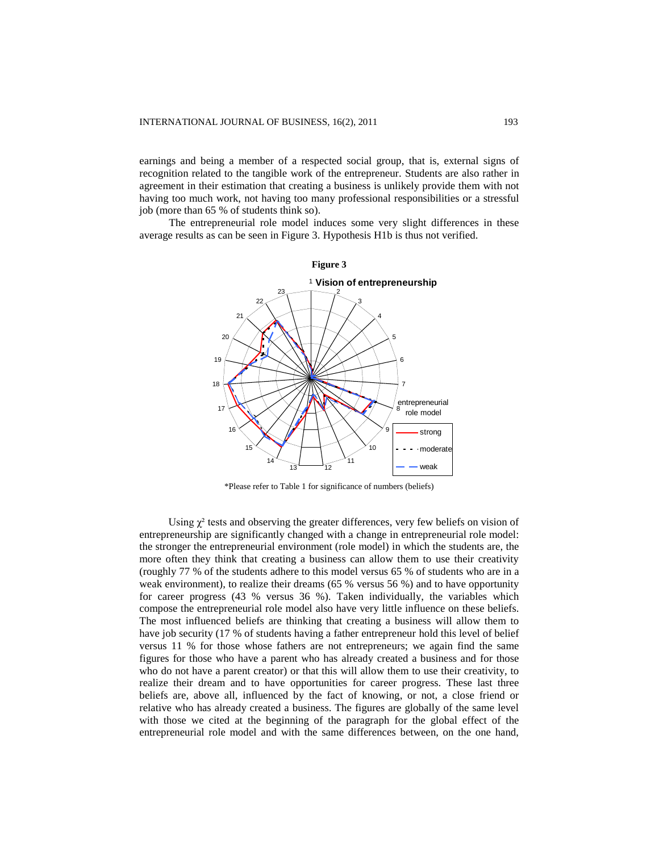earnings and being a member of a respected social group, that is, external signs of recognition related to the tangible work of the entrepreneur. Students are also rather in agreement in their estimation that creating a business is unlikely provide them with not having too much work, not having too many professional responsibilities or a stressful job (more than 65 % of students think so).

The entrepreneurial role model induces some very slight differences in these average results as can be seen in Figure 3. Hypothesis H1b is thus not verified.



\*Please refer to Table 1 for significance of numbers (beliefs)

Using  $\gamma^2$  tests and observing the greater differences, very few beliefs on vision of entrepreneurship are significantly changed with a change in entrepreneurial role model: the stronger the entrepreneurial environment (role model) in which the students are, the more often they think that creating a business can allow them to use their creativity (roughly 77 % of the students adhere to this model versus 65 % of students who are in a weak environment), to realize their dreams (65 % versus 56 %) and to have opportunity for career progress (43 % versus 36 %). Taken individually, the variables which compose the entrepreneurial role model also have very little influence on these beliefs. The most influenced beliefs are thinking that creating a business will allow them to have job security (17 % of students having a father entrepreneur hold this level of belief versus 11 % for those whose fathers are not entrepreneurs; we again find the same figures for those who have a parent who has already created a business and for those who do not have a parent creator) or that this will allow them to use their creativity, to realize their dream and to have opportunities for career progress. These last three beliefs are, above all, influenced by the fact of knowing, or not, a close friend or relative who has already created a business. The figures are globally of the same level with those we cited at the beginning of the paragraph for the global effect of the entrepreneurial role model and with the same differences between, on the one hand,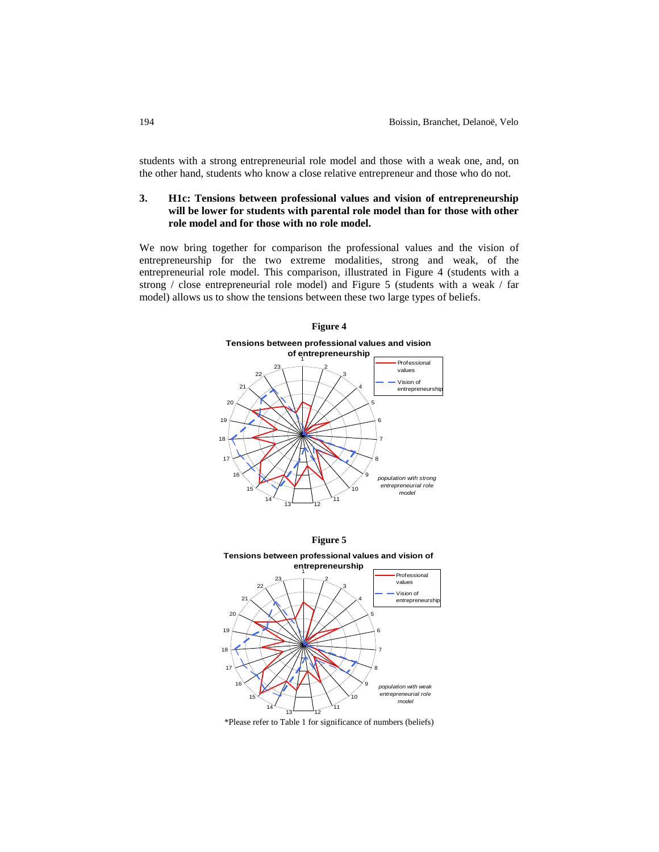students with a strong entrepreneurial role model and those with a weak one, and, on the other hand, students who know a close relative entrepreneur and those who do not.

## **3. H1c: Tensions between professional values and vision of entrepreneurship will be lower for students with parental role model than for those with other role model and for those with no role model.**

We now bring together for comparison the professional values and the vision of entrepreneurship for the two extreme modalities, strong and weak, of the entrepreneurial role model. This comparison, illustrated in Figure 4 (students with a strong / close entrepreneurial role model) and Figure 5 (students with a weak / far model) allows us to show the tensions between these two large types of beliefs.







\*Please refer to Table 1 for significance of numbers (beliefs)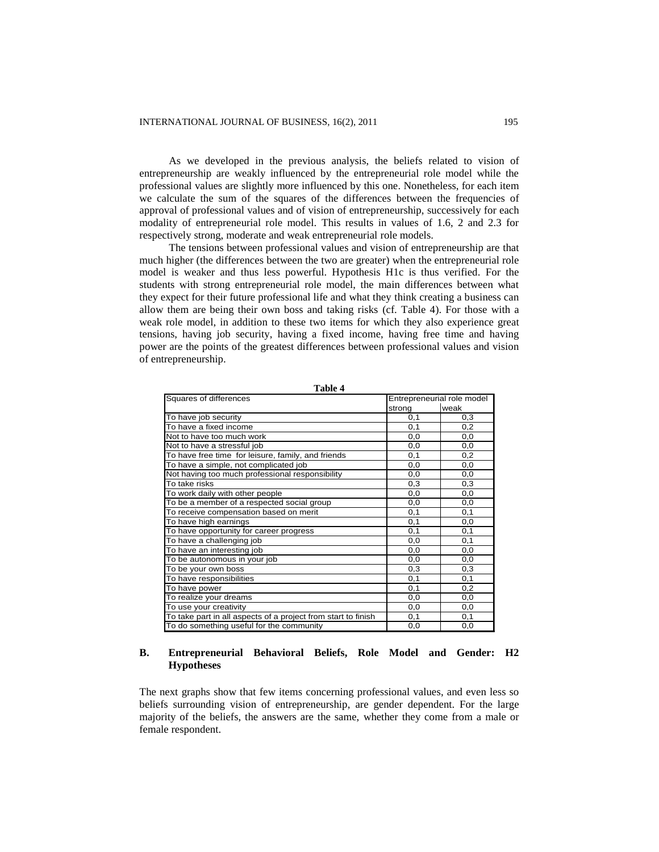As we developed in the previous analysis, the beliefs related to vision of entrepreneurship are weakly influenced by the entrepreneurial role model while the professional values are slightly more influenced by this one. Nonetheless, for each item we calculate the sum of the squares of the differences between the frequencies of approval of professional values and of vision of entrepreneurship, successively for each modality of entrepreneurial role model. This results in values of 1.6, 2 and 2.3 for respectively strong, moderate and weak entrepreneurial role models.

The tensions between professional values and vision of entrepreneurship are that much higher (the differences between the two are greater) when the entrepreneurial role model is weaker and thus less powerful. Hypothesis H1c is thus verified. For the students with strong entrepreneurial role model, the main differences between what they expect for their future professional life and what they think creating a business can allow them are being their own boss and taking risks (cf. Table 4). For those with a weak role model, in addition to these two items for which they also experience great tensions, having job security, having a fixed income, having free time and having power are the points of the greatest differences between professional values and vision of entrepreneurship.

| Squares of differences                                        | Entrepreneurial role model |      |
|---------------------------------------------------------------|----------------------------|------|
|                                                               | strong                     | weak |
| To have job security                                          | 0,1                        | 0,3  |
| To have a fixed income                                        | 0,1                        | 0,2  |
| Not to have too much work                                     | 0,0                        | 0,0  |
| Not to have a stressful job                                   | 0,0                        | 0,0  |
| To have free time for leisure, family, and friends            | 0,1                        | 0,2  |
| To have a simple, not complicated job                         | 0,0                        | 0,0  |
| Not having too much professional responsibility               | 0,0                        | 0,0  |
| To take risks                                                 | 0,3                        | 0,3  |
| To work daily with other people                               | 0,0                        | 0,0  |
| To be a member of a respected social group                    | 0,0                        | 0,0  |
| To receive compensation based on merit                        | 0,1                        | 0,1  |
| To have high earnings                                         | 0,1                        | 0,0  |
| To have opportunity for career progress                       | 0,1                        | 0,1  |
| To have a challenging job                                     | 0,0                        | 0,1  |
| To have an interesting job                                    | 0,0                        | 0,0  |
| To be autonomous in your job                                  | 0,0                        | 0,0  |
| To be your own boss                                           | 0,3                        | 0,3  |
| To have responsibilities                                      | 0,1                        | 0,1  |
| To have power                                                 | 0,1                        | 0,2  |
| To realize your dreams                                        | 0,0                        | 0,0  |
| To use your creativity                                        | 0,0                        | 0,0  |
| To take part in all aspects of a project from start to finish | 0,1                        | 0,1  |
| To do something useful for the community                      | 0,0                        | 0,0  |

**Table 4**

#### **B. Entrepreneurial Behavioral Beliefs, Role Model and Gender: H2 Hypotheses**

The next graphs show that few items concerning professional values, and even less so beliefs surrounding vision of entrepreneurship, are gender dependent. For the large majority of the beliefs, the answers are the same, whether they come from a male or female respondent.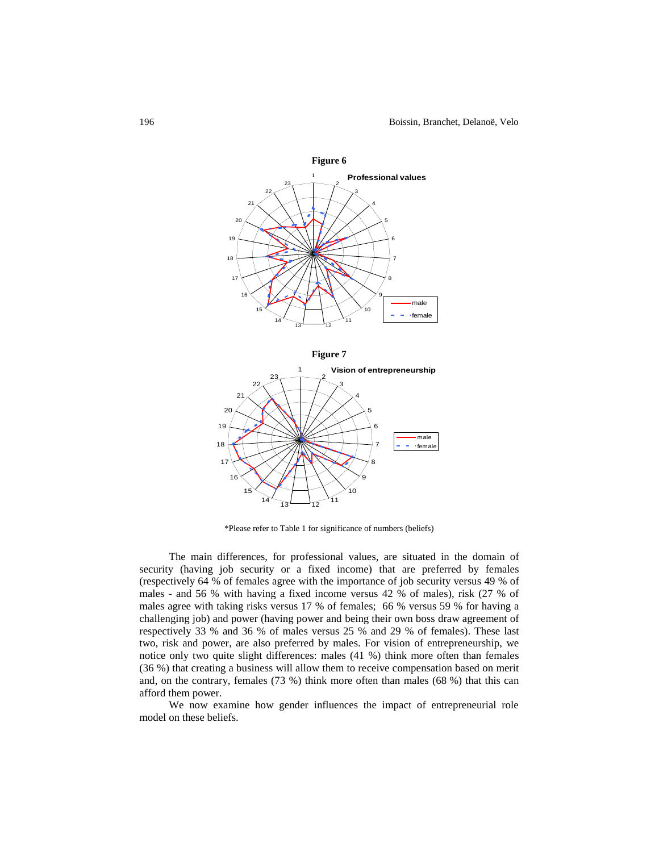

\*Please refer to Table 1 for significance of numbers (beliefs)

 $13 - 12$ 

 

 

The main differences, for professional values, are situated in the domain of security (having job security or a fixed income) that are preferred by females (respectively 64 % of females agree with the importance of job security versus 49 % of males - and 56 % with having a fixed income versus 42 % of males), risk (27 % of males agree with taking risks versus 17 % of females; 66 % versus 59 % for having a challenging job) and power (having power and being their own boss draw agreement of respectively 33 % and 36 % of males versus 25 % and 29 % of females). These last two, risk and power, are also preferred by males. For vision of entrepreneurship, we notice only two quite slight differences: males (41 %) think more often than females (36 %) that creating a business will allow them to receive compensation based on merit and, on the contrary, females (73 %) think more often than males (68 %) that this can afford them power.

We now examine how gender influences the impact of entrepreneurial role model on these beliefs.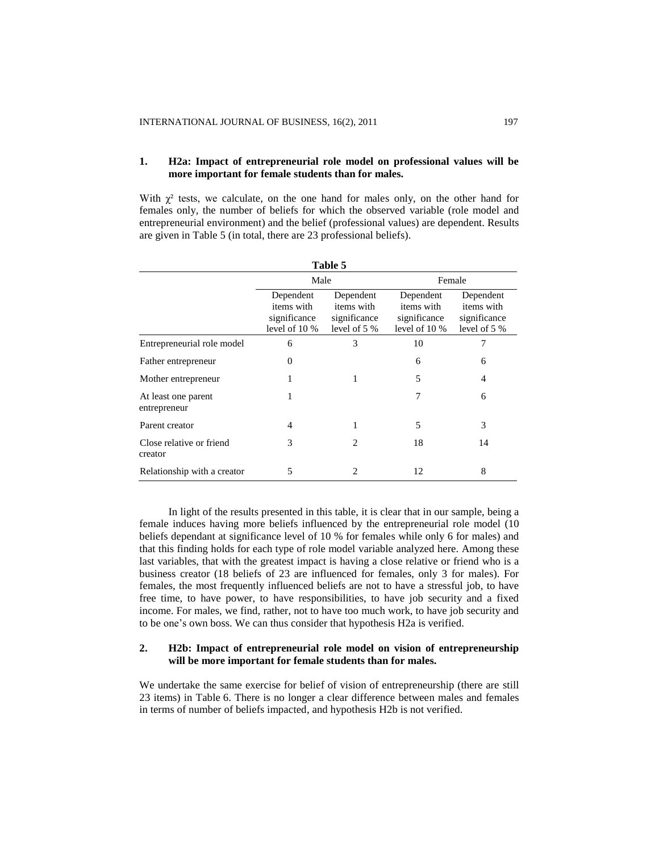## **1. H2a: Impact of entrepreneurial role model on professional values will be more important for female students than for males.**

With  $\gamma^2$  tests, we calculate, on the one hand for males only, on the other hand for females only, the number of beliefs for which the observed variable (role model and entrepreneurial environment) and the belief (professional values) are dependent. Results are given in Table 5 (in total, there are 23 professional beliefs).

| Table 5                             |                                                          |                                                         |                                                          |                                                         |  |
|-------------------------------------|----------------------------------------------------------|---------------------------------------------------------|----------------------------------------------------------|---------------------------------------------------------|--|
|                                     | Male                                                     |                                                         | Female                                                   |                                                         |  |
|                                     | Dependent<br>items with<br>significance<br>level of 10 % | Dependent<br>items with<br>significance<br>level of 5 % | Dependent<br>items with<br>significance<br>level of 10 % | Dependent<br>items with<br>significance<br>level of 5 % |  |
| Entrepreneurial role model          | 6                                                        | 3                                                       | 10                                                       | 7                                                       |  |
| Father entrepreneur                 | $\Omega$                                                 |                                                         | 6                                                        | 6                                                       |  |
| Mother entrepreneur                 | 1                                                        | 1                                                       | 5                                                        | 4                                                       |  |
| At least one parent<br>entrepreneur | 1                                                        |                                                         | 7                                                        | 6                                                       |  |
| Parent creator                      | 4                                                        | 1                                                       | 5                                                        | 3                                                       |  |
| Close relative or friend<br>creator | 3                                                        | 2                                                       | 18                                                       | 14                                                      |  |
| Relationship with a creator         | 5                                                        | 2                                                       | 12                                                       | 8                                                       |  |

In light of the results presented in this table, it is clear that in our sample, being a female induces having more beliefs influenced by the entrepreneurial role model (10 beliefs dependant at significance level of 10 % for females while only 6 for males) and that this finding holds for each type of role model variable analyzed here. Among these last variables, that with the greatest impact is having a close relative or friend who is a business creator (18 beliefs of 23 are influenced for females, only 3 for males). For females, the most frequently influenced beliefs are not to have a stressful job, to have free time, to have power, to have responsibilities, to have job security and a fixed income. For males, we find, rather, not to have too much work, to have job security and to be one's own boss. We can thus consider that hypothesis H2a is verified.

## **2. H2b: Impact of entrepreneurial role model on vision of entrepreneurship will be more important for female students than for males.**

We undertake the same exercise for belief of vision of entrepreneurship (there are still 23 items) in Table 6. There is no longer a clear difference between males and females in terms of number of beliefs impacted, and hypothesis H2b is not verified.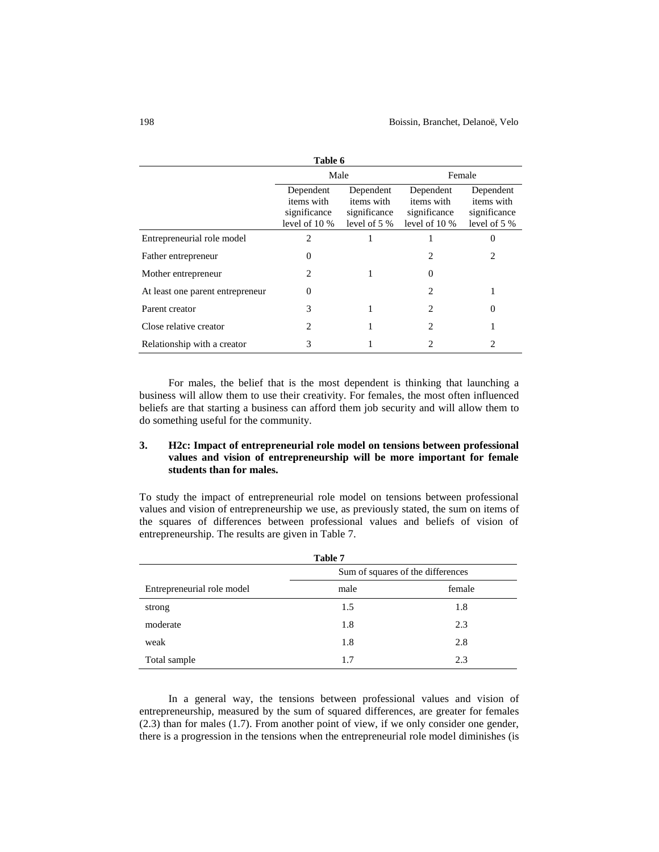| Table 6                          |                                                          |                                                          |                                                            |                                                         |
|----------------------------------|----------------------------------------------------------|----------------------------------------------------------|------------------------------------------------------------|---------------------------------------------------------|
|                                  | Male                                                     |                                                          | Female                                                     |                                                         |
|                                  | Dependent<br>items with<br>significance<br>level of 10 % | Dependent<br>items with<br>significance<br>level of $5%$ | Dependent<br>items with<br>significance<br>level of $10\%$ | Dependent<br>items with<br>significance<br>level of 5 % |
| Entrepreneurial role model       | 2                                                        |                                                          |                                                            | 0                                                       |
| Father entrepreneur              | 0                                                        |                                                          | 2                                                          | 2                                                       |
| Mother entrepreneur              | 2                                                        | 1                                                        | 0                                                          |                                                         |
| At least one parent entrepreneur | 0                                                        |                                                          | 2                                                          |                                                         |
| Parent creator                   | 3                                                        | 1                                                        | 2                                                          | 0                                                       |
| Close relative creator           | 2                                                        |                                                          | 2                                                          |                                                         |
| Relationship with a creator      | 3                                                        |                                                          | 2                                                          |                                                         |

For males, the belief that is the most dependent is thinking that launching a business will allow them to use their creativity. For females, the most often influenced beliefs are that starting a business can afford them job security and will allow them to do something useful for the community.

## **3. H2c: Impact of entrepreneurial role model on tensions between professional values and vision of entrepreneurship will be more important for female students than for males.**

To study the impact of entrepreneurial role model on tensions between professional values and vision of entrepreneurship we use, as previously stated, the sum on items of the squares of differences between professional values and beliefs of vision of entrepreneurship. The results are given in Table 7.

| Table 7                    |                                   |        |  |  |
|----------------------------|-----------------------------------|--------|--|--|
|                            | Sum of squares of the differences |        |  |  |
| Entrepreneurial role model | male                              | female |  |  |
| strong                     | 1.5                               | 1.8    |  |  |
| moderate                   | 1.8                               | 2.3    |  |  |
| weak                       | 1.8                               | 2.8    |  |  |
| Total sample               | 1.7                               | 2.3    |  |  |

In a general way, the tensions between professional values and vision of entrepreneurship, measured by the sum of squared differences, are greater for females (2.3) than for males (1.7). From another point of view, if we only consider one gender, there is a progression in the tensions when the entrepreneurial role model diminishes (is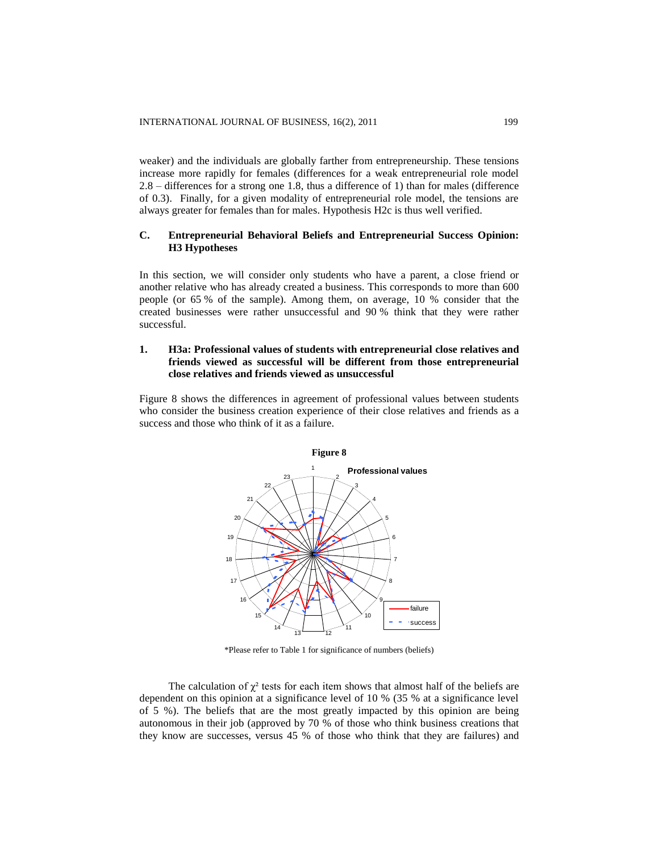weaker) and the individuals are globally farther from entrepreneurship. These tensions increase more rapidly for females (differences for a weak entrepreneurial role model 2.8 – differences for a strong one 1.8, thus a difference of 1) than for males (difference of 0.3). Finally, for a given modality of entrepreneurial role model, the tensions are always greater for females than for males. Hypothesis H2c is thus well verified.

## **C. Entrepreneurial Behavioral Beliefs and Entrepreneurial Success Opinion: H3 Hypotheses**

In this section, we will consider only students who have a parent, a close friend or another relative who has already created a business. This corresponds to more than 600 people (or 65 % of the sample). Among them, on average, 10 % consider that the created businesses were rather unsuccessful and 90 % think that they were rather successful.

## **1. H3a: Professional values of students with entrepreneurial close relatives and friends viewed as successful will be different from those entrepreneurial close relatives and friends viewed as unsuccessful**

Figure 8 shows the differences in agreement of professional values between students who consider the business creation experience of their close relatives and friends as a success and those who think of it as a failure.



\*Please refer to Table 1 for significance of numbers (beliefs)

The calculation of  $\chi^2$  tests for each item shows that almost half of the beliefs are dependent on this opinion at a significance level of 10 % (35 % at a significance level of 5 %). The beliefs that are the most greatly impacted by this opinion are being autonomous in their job (approved by 70 % of those who think business creations that they know are successes, versus 45 % of those who think that they are failures) and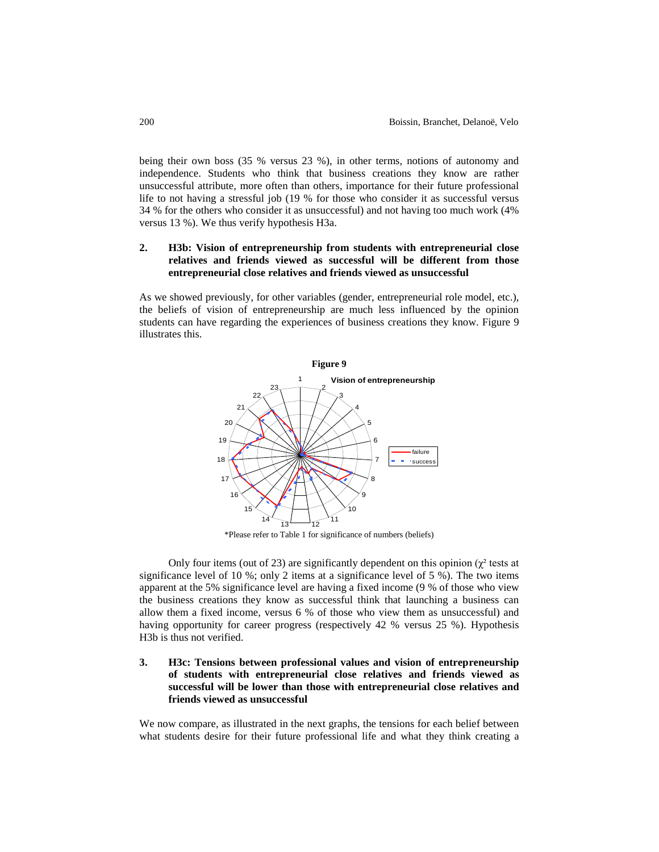being their own boss (35 % versus 23 %), in other terms, notions of autonomy and independence. Students who think that business creations they know are rather unsuccessful attribute, more often than others, importance for their future professional life to not having a stressful job (19 % for those who consider it as successful versus 34 % for the others who consider it as unsuccessful) and not having too much work (4% versus 13 %). We thus verify hypothesis H3a.

## **2. H3b: Vision of entrepreneurship from students with entrepreneurial close relatives and friends viewed as successful will be different from those entrepreneurial close relatives and friends viewed as unsuccessful**

As we showed previously, for other variables (gender, entrepreneurial role model, etc.), the beliefs of vision of entrepreneurship are much less influenced by the opinion students can have regarding the experiences of business creations they know. Figure 9 illustrates this.



\*Please refer to Table 1 for significance of numbers (beliefs)

Only four items (out of 23) are significantly dependent on this opinion ( $\chi^2$  tests at significance level of 10 %; only 2 items at a significance level of 5 %). The two items apparent at the 5% significance level are having a fixed income (9 % of those who view the business creations they know as successful think that launching a business can allow them a fixed income, versus 6 % of those who view them as unsuccessful) and having opportunity for career progress (respectively 42 % versus 25 %). Hypothesis H3b is thus not verified.

**3. H3c: Tensions between professional values and vision of entrepreneurship of students with entrepreneurial close relatives and friends viewed as successful will be lower than those with entrepreneurial close relatives and friends viewed as unsuccessful**

We now compare, as illustrated in the next graphs, the tensions for each belief between what students desire for their future professional life and what they think creating a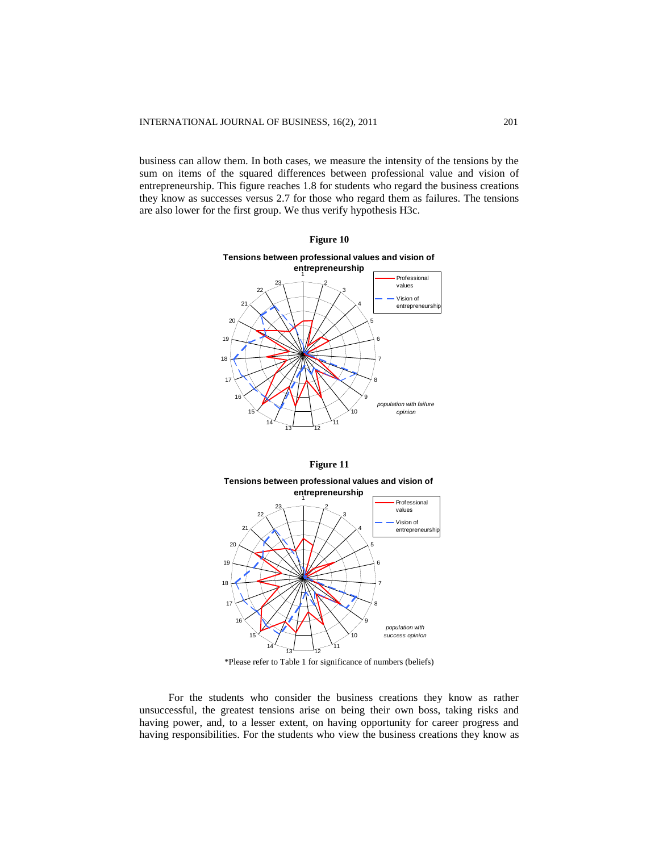business can allow them. In both cases, we measure the intensity of the tensions by the sum on items of the squared differences between professional value and vision of entrepreneurship. This figure reaches 1.8 for students who regard the business creations they know as successes versus 2.7 for those who regard them as failures. The tensions are also lower for the first group. We thus verify hypothesis H3c.







\*Please refer to Table 1 for significance of numbers (beliefs)

For the students who consider the business creations they know as rather unsuccessful, the greatest tensions arise on being their own boss, taking risks and having power, and, to a lesser extent, on having opportunity for career progress and having responsibilities. For the students who view the business creations they know as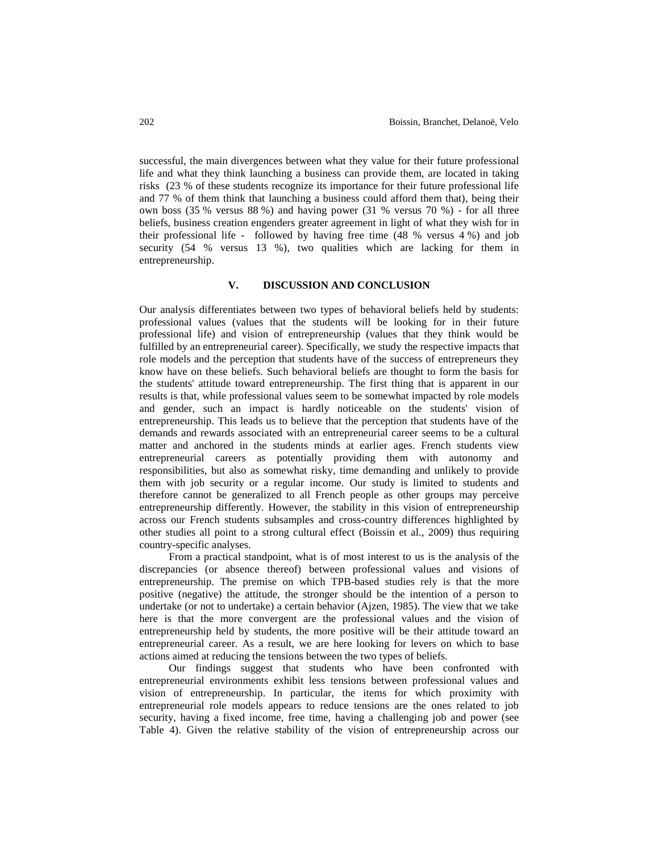successful, the main divergences between what they value for their future professional life and what they think launching a business can provide them, are located in taking risks (23 % of these students recognize its importance for their future professional life and 77 % of them think that launching a business could afford them that), being their own boss (35 % versus 88 %) and having power (31 % versus 70 %) - for all three beliefs, business creation engenders greater agreement in light of what they wish for in their professional life - followed by having free time (48 % versus 4 %) and job security (54 % versus 13 %), two qualities which are lacking for them in entrepreneurship.

#### **V. DISCUSSION AND CONCLUSION**

Our analysis differentiates between two types of behavioral beliefs held by students: professional values (values that the students will be looking for in their future professional life) and vision of entrepreneurship (values that they think would be fulfilled by an entrepreneurial career). Specifically, we study the respective impacts that role models and the perception that students have of the success of entrepreneurs they know have on these beliefs. Such behavioral beliefs are thought to form the basis for the students' attitude toward entrepreneurship. The first thing that is apparent in our results is that, while professional values seem to be somewhat impacted by role models and gender, such an impact is hardly noticeable on the students' vision of entrepreneurship. This leads us to believe that the perception that students have of the demands and rewards associated with an entrepreneurial career seems to be a cultural matter and anchored in the students minds at earlier ages. French students view entrepreneurial careers as potentially providing them with autonomy and responsibilities, but also as somewhat risky, time demanding and unlikely to provide them with job security or a regular income. Our study is limited to students and therefore cannot be generalized to all French people as other groups may perceive entrepreneurship differently. However, the stability in this vision of entrepreneurship across our French students subsamples and cross-country differences highlighted by other studies all point to a strong cultural effect (Boissin et al., 2009) thus requiring country-specific analyses.

From a practical standpoint, what is of most interest to us is the analysis of the discrepancies (or absence thereof) between professional values and visions of entrepreneurship. The premise on which TPB-based studies rely is that the more positive (negative) the attitude, the stronger should be the intention of a person to undertake (or not to undertake) a certain behavior (Ajzen, 1985). The view that we take here is that the more convergent are the professional values and the vision of entrepreneurship held by students, the more positive will be their attitude toward an entrepreneurial career. As a result, we are here looking for levers on which to base actions aimed at reducing the tensions between the two types of beliefs.

Our findings suggest that students who have been confronted with entrepreneurial environments exhibit less tensions between professional values and vision of entrepreneurship. In particular, the items for which proximity with entrepreneurial role models appears to reduce tensions are the ones related to job security, having a fixed income, free time, having a challenging job and power (see Table 4). Given the relative stability of the vision of entrepreneurship across our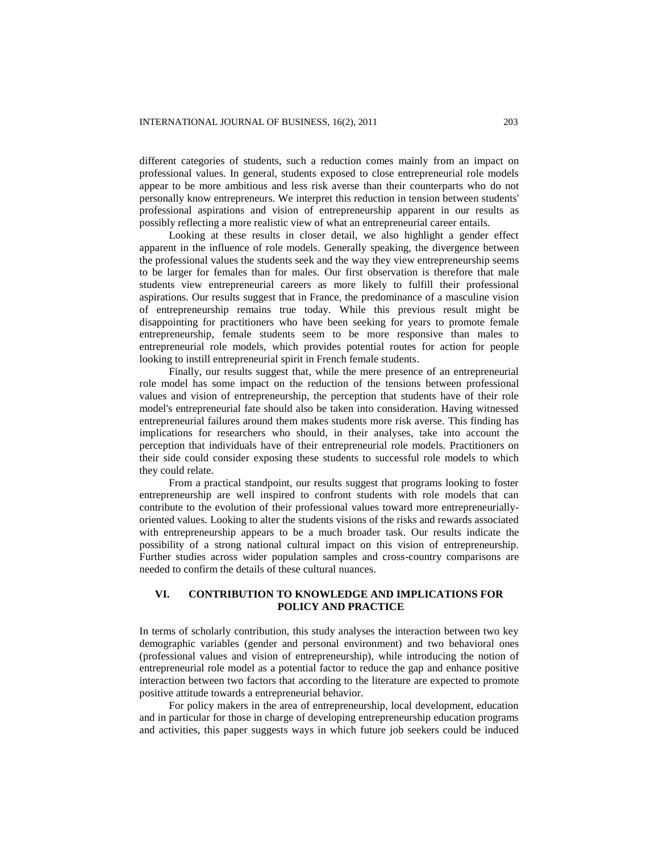different categories of students, such a reduction comes mainly from an impact on professional values. In general, students exposed to close entrepreneurial role models appear to be more ambitious and less risk averse than their counterparts who do not personally know entrepreneurs. We interpret this reduction in tension between students' professional aspirations and vision of entrepreneurship apparent in our results as possibly reflecting a more realistic view of what an entrepreneurial career entails.

Looking at these results in closer detail, we also highlight a gender effect apparent in the influence of role models. Generally speaking, the divergence between the professional values the students seek and the way they view entrepreneurship seems to be larger for females than for males. Our first observation is therefore that male students view entrepreneurial careers as more likely to fulfill their professional aspirations. Our results suggest that in France, the predominance of a masculine vision of entrepreneurship remains true today. While this previous result might be disappointing for practitioners who have been seeking for years to promote female entrepreneurship, female students seem to be more responsive than males to entrepreneurial role models, which provides potential routes for action for people looking to instill entrepreneurial spirit in French female students.

Finally, our results suggest that, while the mere presence of an entrepreneurial role model has some impact on the reduction of the tensions between professional values and vision of entrepreneurship, the perception that students have of their role model's entrepreneurial fate should also be taken into consideration. Having witnessed entrepreneurial failures around them makes students more risk averse. This finding has implications for researchers who should, in their analyses, take into account the perception that individuals have of their entrepreneurial role models. Practitioners on their side could consider exposing these students to successful role models to which they could relate.

From a practical standpoint, our results suggest that programs looking to foster entrepreneurship are well inspired to confront students with role models that can contribute to the evolution of their professional values toward more entrepreneuriallyoriented values. Looking to alter the students visions of the risks and rewards associated with entrepreneurship appears to be a much broader task. Our results indicate the possibility of a strong national cultural impact on this vision of entrepreneurship. Further studies across wider population samples and cross-country comparisons are needed to confirm the details of these cultural nuances.

## **VI. CONTRIBUTION TO KNOWLEDGE AND IMPLICATIONS FOR POLICY AND PRACTICE**

In terms of scholarly contribution, this study analyses the interaction between two key demographic variables (gender and personal environment) and two behavioral ones (professional values and vision of entrepreneurship), while introducing the notion of entrepreneurial role model as a potential factor to reduce the gap and enhance positive interaction between two factors that according to the literature are expected to promote positive attitude towards a entrepreneurial behavior.

For policy makers in the area of entrepreneurship, local development, education and in particular for those in charge of developing entrepreneurship education programs and activities, this paper suggests ways in which future job seekers could be induced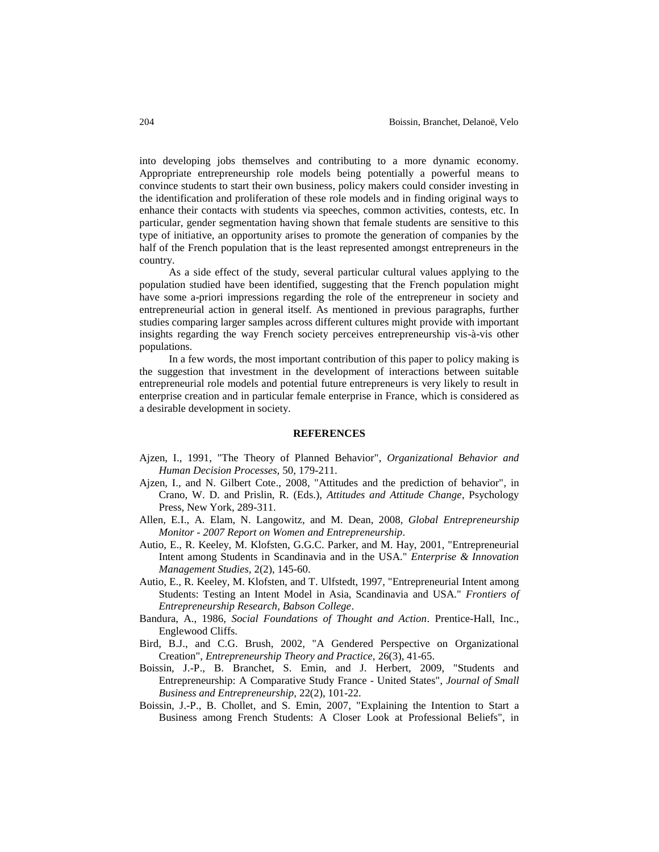into developing jobs themselves and contributing to a more dynamic economy. Appropriate entrepreneurship role models being potentially a powerful means to convince students to start their own business, policy makers could consider investing in the identification and proliferation of these role models and in finding original ways to enhance their contacts with students via speeches, common activities, contests, etc. In particular, gender segmentation having shown that female students are sensitive to this type of initiative, an opportunity arises to promote the generation of companies by the half of the French population that is the least represented amongst entrepreneurs in the country.

As a side effect of the study, several particular cultural values applying to the population studied have been identified, suggesting that the French population might have some a-priori impressions regarding the role of the entrepreneur in society and entrepreneurial action in general itself. As mentioned in previous paragraphs, further studies comparing larger samples across different cultures might provide with important insights regarding the way French society perceives entrepreneurship vis-à-vis other populations.

In a few words, the most important contribution of this paper to policy making is the suggestion that investment in the development of interactions between suitable entrepreneurial role models and potential future entrepreneurs is very likely to result in enterprise creation and in particular female enterprise in France, which is considered as a desirable development in society.

#### **REFERENCES**

- Ajzen, I., 1991, "The Theory of Planned Behavior", *Organizational Behavior and Human Decision Processes,* 50, 179-211.
- Ajzen, I., and N. Gilbert Cote., 2008, "Attitudes and the prediction of behavior", in Crano, W. D. and Prislin, R. (Eds.), *Attitudes and Attitude Change*, Psychology Press, New York, 289-311.
- Allen, E.I., A. Elam, N. Langowitz, and M. Dean, 2008, *Global Entrepreneurship Monitor - 2007 Report on Women and Entrepreneurship*.
- Autio, E., R. Keeley, M. Klofsten, G.G.C. Parker, and M. Hay, 2001, "Entrepreneurial Intent among Students in Scandinavia and in the USA." *Enterprise & Innovation Management Studies,* 2(2), 145-60.
- Autio, E., R. Keeley, M. Klofsten, and T. Ulfstedt, 1997, "Entrepreneurial Intent among Students: Testing an Intent Model in Asia, Scandinavia and USA." *Frontiers of Entrepreneurship Research, Babson College*.
- Bandura, A., 1986, *Social Foundations of Thought and Action*. Prentice-Hall, Inc., Englewood Cliffs.
- Bird, B.J., and C.G. Brush, 2002, "A Gendered Perspective on Organizational Creation", *Entrepreneurship Theory and Practice,* 26(3), 41-65.
- Boissin, J.-P., B. Branchet, S. Emin, and J. Herbert, 2009, "Students and Entrepreneurship: A Comparative Study France - United States", *Journal of Small Business and Entrepreneurship,* 22(2), 101-22.
- Boissin, J.-P., B. Chollet, and S. Emin, 2007, "Explaining the Intention to Start a Business among French Students: A Closer Look at Professional Beliefs", in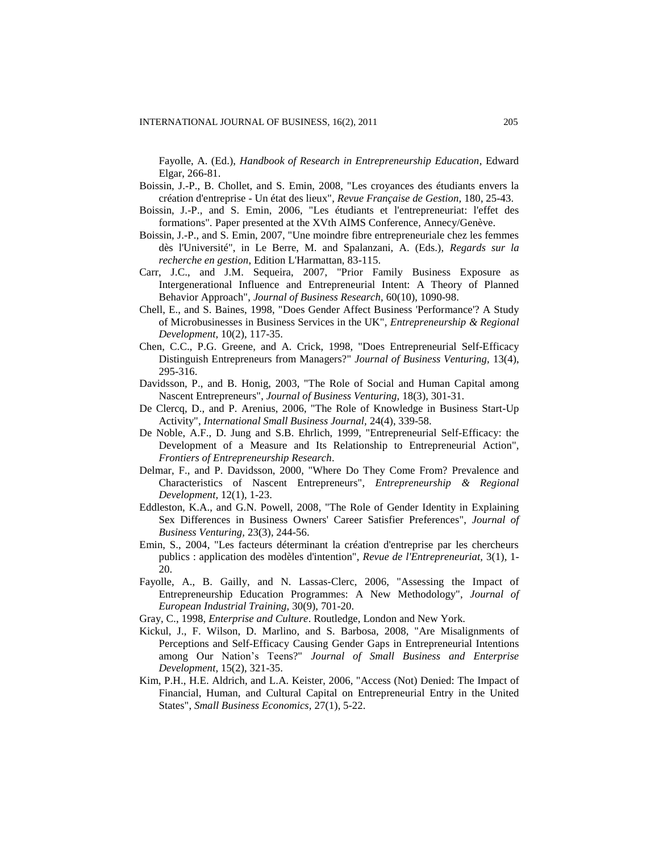Fayolle, A. (Ed.), *Handbook of Research in Entrepreneurship Education*, Edward Elgar, 266-81.

- Boissin, J.-P., B. Chollet, and S. Emin, 2008, "Les croyances des étudiants envers la création d'entreprise - Un état des lieux", *Revue Française de Gestion,* 180, 25-43.
- Boissin, J.-P., and S. Emin, 2006, "Les étudiants et l'entrepreneuriat: l'effet des formations"*.* Paper presented at the XVth AIMS Conference, Annecy/Genève.
- Boissin, J.-P., and S. Emin, 2007, "Une moindre fibre entrepreneuriale chez les femmes dès l'Université", in Le Berre, M. and Spalanzani, A. (Eds.), *Regards sur la recherche en gestion*, Edition L'Harmattan, 83-115.
- Carr, J.C., and J.M. Sequeira, 2007, "Prior Family Business Exposure as Intergenerational Influence and Entrepreneurial Intent: A Theory of Planned Behavior Approach", *Journal of Business Research,* 60(10), 1090-98.
- Chell, E., and S. Baines, 1998, "Does Gender Affect Business 'Performance'? A Study of Microbusinesses in Business Services in the UK", *Entrepreneurship & Regional Development,* 10(2), 117-35.
- Chen, C.C., P.G. Greene, and A. Crick, 1998, "Does Entrepreneurial Self-Efficacy Distinguish Entrepreneurs from Managers?" *Journal of Business Venturing,* 13(4), 295-316.
- Davidsson, P., and B. Honig, 2003, "The Role of Social and Human Capital among Nascent Entrepreneurs", *Journal of Business Venturing,* 18(3), 301-31.
- De Clercq, D., and P. Arenius, 2006, "The Role of Knowledge in Business Start-Up Activity", *International Small Business Journal,* 24(4), 339-58.
- De Noble, A.F., D. Jung and S.B. Ehrlich, 1999, "Entrepreneurial Self-Efficacy: the Development of a Measure and Its Relationship to Entrepreneurial Action", *Frontiers of Entrepreneurship Research*.
- Delmar, F., and P. Davidsson, 2000, "Where Do They Come From? Prevalence and Characteristics of Nascent Entrepreneurs", *Entrepreneurship & Regional Development,* 12(1), 1-23.
- Eddleston, K.A., and G.N. Powell, 2008, "The Role of Gender Identity in Explaining Sex Differences in Business Owners' Career Satisfier Preferences", *Journal of Business Venturing,* 23(3), 244-56.
- Emin, S., 2004, "Les facteurs déterminant la création d'entreprise par les chercheurs publics : application des modèles d'intention", *Revue de l'Entrepreneuriat,* 3(1), 1- 20.
- Fayolle, A., B. Gailly, and N. Lassas-Clerc, 2006, "Assessing the Impact of Entrepreneurship Education Programmes: A New Methodology", *Journal of European Industrial Training,* 30(9), 701-20.
- Gray, C., 1998, *Enterprise and Culture*. Routledge, London and New York.
- Kickul, J., F. Wilson, D. Marlino, and S. Barbosa, 2008, "Are Misalignments of Perceptions and Self-Efficacy Causing Gender Gaps in Entrepreneurial Intentions among Our Nation's Teens?" *Journal of Small Business and Enterprise Development,* 15(2), 321-35.
- Kim, P.H., H.E. Aldrich, and L.A. Keister, 2006, "Access (Not) Denied: The Impact of Financial, Human, and Cultural Capital on Entrepreneurial Entry in the United States", *Small Business Economics,* 27(1), 5-22.